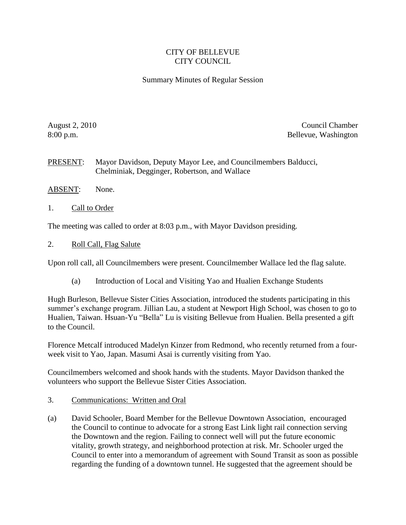## CITY OF BELLEVUE CITY COUNCIL

## Summary Minutes of Regular Session

August 2, 2010 Council Chamber 8:00 p.m. Bellevue, Washington

PRESENT: Mayor Davidson, Deputy Mayor Lee, and Councilmembers Balducci, Chelminiak, Degginger, Robertson, and Wallace

- ABSENT: None.
- 1. Call to Order

The meeting was called to order at 8:03 p.m., with Mayor Davidson presiding.

2. Roll Call, Flag Salute

Upon roll call, all Councilmembers were present. Councilmember Wallace led the flag salute.

(a) Introduction of Local and Visiting Yao and Hualien Exchange Students

Hugh Burleson, Bellevue Sister Cities Association, introduced the students participating in this summer's exchange program. Jillian Lau, a student at Newport High School, was chosen to go to Hualien, Taiwan. Hsuan-Yu "Bella" Lu is visiting Bellevue from Hualien. Bella presented a gift to the Council.

Florence Metcalf introduced Madelyn Kinzer from Redmond, who recently returned from a fourweek visit to Yao, Japan. Masumi Asai is currently visiting from Yao.

Councilmembers welcomed and shook hands with the students. Mayor Davidson thanked the volunteers who support the Bellevue Sister Cities Association.

- 3. Communications: Written and Oral
- (a) David Schooler, Board Member for the Bellevue Downtown Association, encouraged the Council to continue to advocate for a strong East Link light rail connection serving the Downtown and the region. Failing to connect well will put the future economic vitality, growth strategy, and neighborhood protection at risk. Mr. Schooler urged the Council to enter into a memorandum of agreement with Sound Transit as soon as possible regarding the funding of a downtown tunnel. He suggested that the agreement should be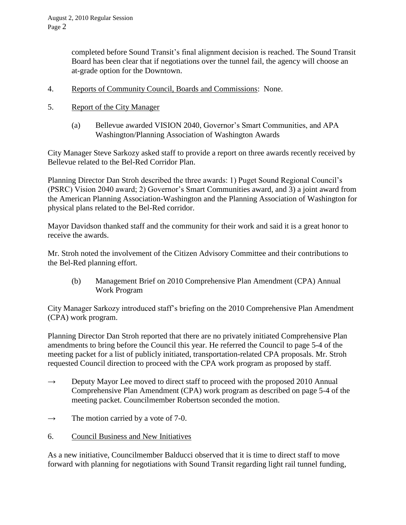completed before Sound Transit's final alignment decision is reached. The Sound Transit Board has been clear that if negotiations over the tunnel fail, the agency will choose an at-grade option for the Downtown.

- 4. Reports of Community Council, Boards and Commissions: None.
- 5. Report of the City Manager
	- (a) Bellevue awarded VISION 2040, Governor's Smart Communities, and APA Washington/Planning Association of Washington Awards

City Manager Steve Sarkozy asked staff to provide a report on three awards recently received by Bellevue related to the Bel-Red Corridor Plan.

Planning Director Dan Stroh described the three awards: 1) Puget Sound Regional Council's (PSRC) Vision 2040 award; 2) Governor's Smart Communities award, and 3) a joint award from the American Planning Association-Washington and the Planning Association of Washington for physical plans related to the Bel-Red corridor.

Mayor Davidson thanked staff and the community for their work and said it is a great honor to receive the awards.

Mr. Stroh noted the involvement of the Citizen Advisory Committee and their contributions to the Bel-Red planning effort.

(b) Management Brief on 2010 Comprehensive Plan Amendment (CPA) Annual Work Program

City Manager Sarkozy introduced staff's briefing on the 2010 Comprehensive Plan Amendment (CPA) work program.

Planning Director Dan Stroh reported that there are no privately initiated Comprehensive Plan amendments to bring before the Council this year. He referred the Council to page 5-4 of the meeting packet for a list of publicly initiated, transportation-related CPA proposals. Mr. Stroh requested Council direction to proceed with the CPA work program as proposed by staff.

- $\rightarrow$  Deputy Mayor Lee moved to direct staff to proceed with the proposed 2010 Annual Comprehensive Plan Amendment (CPA) work program as described on page 5-4 of the meeting packet. Councilmember Robertson seconded the motion.
- $\rightarrow$  The motion carried by a vote of 7-0.
- 6. Council Business and New Initiatives

As a new initiative, Councilmember Balducci observed that it is time to direct staff to move forward with planning for negotiations with Sound Transit regarding light rail tunnel funding,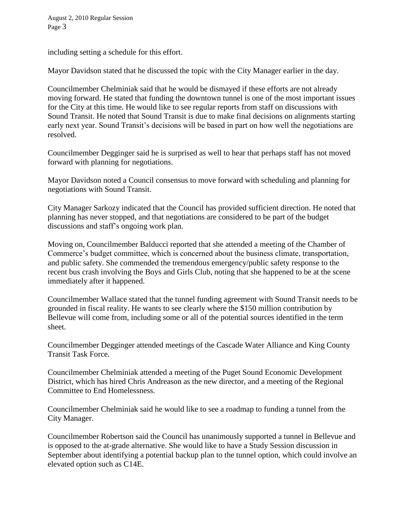August 2, 2010 Regular Session Page 3

including setting a schedule for this effort.

Mayor Davidson stated that he discussed the topic with the City Manager earlier in the day.

Councilmember Chelminiak said that he would be dismayed if these efforts are not already moving forward. He stated that funding the downtown tunnel is one of the most important issues for the City at this time. He would like to see regular reports from staff on discussions with Sound Transit. He noted that Sound Transit is due to make final decisions on alignments starting early next year. Sound Transit's decisions will be based in part on how well the negotiations are resolved.

Councilmember Degginger said he is surprised as well to hear that perhaps staff has not moved forward with planning for negotiations.

Mayor Davidson noted a Council consensus to move forward with scheduling and planning for negotiations with Sound Transit.

City Manager Sarkozy indicated that the Council has provided sufficient direction. He noted that planning has never stopped, and that negotiations are considered to be part of the budget discussions and staff's ongoing work plan.

Moving on, Councilmember Balducci reported that she attended a meeting of the Chamber of Commerce's budget committee, which is concerned about the business climate, transportation, and public safety. She commended the tremendous emergency/public safety response to the recent bus crash involving the Boys and Girls Club, noting that she happened to be at the scene immediately after it happened.

Councilmember Wallace stated that the tunnel funding agreement with Sound Transit needs to be grounded in fiscal reality. He wants to see clearly where the \$150 million contribution by Bellevue will come from, including some or all of the potential sources identified in the term sheet.

Councilmember Degginger attended meetings of the Cascade Water Alliance and King County Transit Task Force.

Councilmember Chelminiak attended a meeting of the Puget Sound Economic Development District, which has hired Chris Andreason as the new director, and a meeting of the Regional Committee to End Homelessness.

Councilmember Chelminiak said he would like to see a roadmap to funding a tunnel from the City Manager.

Councilmember Robertson said the Council has unanimously supported a tunnel in Bellevue and is opposed to the at-grade alternative. She would like to have a Study Session discussion in September about identifying a potential backup plan to the tunnel option, which could involve an elevated option such as C14E.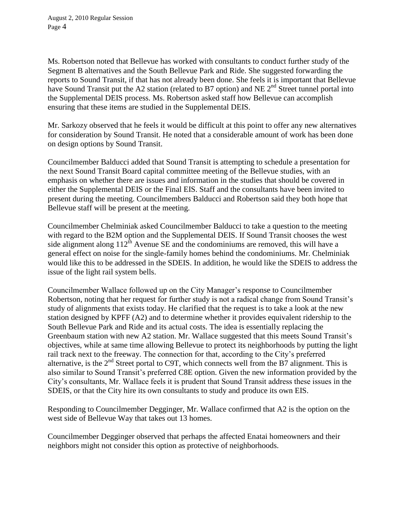Ms. Robertson noted that Bellevue has worked with consultants to conduct further study of the Segment B alternatives and the South Bellevue Park and Ride. She suggested forwarding the reports to Sound Transit, if that has not already been done. She feels it is important that Bellevue have Sound Transit put the A2 station (related to B7 option) and NE  $2<sup>nd</sup>$  Street tunnel portal into the Supplemental DEIS process. Ms. Robertson asked staff how Bellevue can accomplish ensuring that these items are studied in the Supplemental DEIS.

Mr. Sarkozy observed that he feels it would be difficult at this point to offer any new alternatives for consideration by Sound Transit. He noted that a considerable amount of work has been done on design options by Sound Transit.

Councilmember Balducci added that Sound Transit is attempting to schedule a presentation for the next Sound Transit Board capital committee meeting of the Bellevue studies, with an emphasis on whether there are issues and information in the studies that should be covered in either the Supplemental DEIS or the Final EIS. Staff and the consultants have been invited to present during the meeting. Councilmembers Balducci and Robertson said they both hope that Bellevue staff will be present at the meeting.

Councilmember Chelminiak asked Councilmember Balducci to take a question to the meeting with regard to the B2M option and the Supplemental DEIS. If Sound Transit chooses the west side alignment along  $112<sup>th</sup>$  Avenue SE and the condominiums are removed, this will have a general effect on noise for the single-family homes behind the condominiums. Mr. Chelminiak would like this to be addressed in the SDEIS. In addition, he would like the SDEIS to address the issue of the light rail system bells.

Councilmember Wallace followed up on the City Manager's response to Councilmember Robertson, noting that her request for further study is not a radical change from Sound Transit's study of alignments that exists today. He clarified that the request is to take a look at the new station designed by KPFF (A2) and to determine whether it provides equivalent ridership to the South Bellevue Park and Ride and its actual costs. The idea is essentially replacing the Greenbaum station with new A2 station. Mr. Wallace suggested that this meets Sound Transit's objectives, while at same time allowing Bellevue to protect its neighborhoods by putting the light rail track next to the freeway. The connection for that, according to the City's preferred alternative, is the  $2<sup>nd</sup>$  Street portal to C9T, which connects well from the B7 alignment. This is also similar to Sound Transit's preferred C8E option. Given the new information provided by the City's consultants, Mr. Wallace feels it is prudent that Sound Transit address these issues in the SDEIS, or that the City hire its own consultants to study and produce its own EIS.

Responding to Councilmember Degginger, Mr. Wallace confirmed that A2 is the option on the west side of Bellevue Way that takes out 13 homes.

Councilmember Degginger observed that perhaps the affected Enatai homeowners and their neighbors might not consider this option as protective of neighborhoods.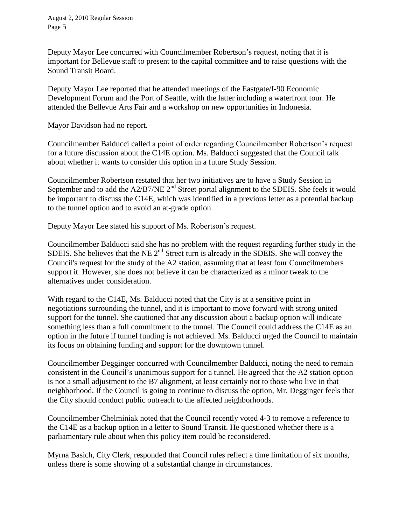August 2, 2010 Regular Session Page 5

Deputy Mayor Lee concurred with Councilmember Robertson's request, noting that it is important for Bellevue staff to present to the capital committee and to raise questions with the Sound Transit Board.

Deputy Mayor Lee reported that he attended meetings of the Eastgate/I-90 Economic Development Forum and the Port of Seattle, with the latter including a waterfront tour. He attended the Bellevue Arts Fair and a workshop on new opportunities in Indonesia.

Mayor Davidson had no report.

Councilmember Balducci called a point of order regarding Councilmember Robertson's request for a future discussion about the C14E option. Ms. Balducci suggested that the Council talk about whether it wants to consider this option in a future Study Session.

Councilmember Robertson restated that her two initiatives are to have a Study Session in September and to add the  $A2/B7/NE$   $2<sup>nd</sup>$  Street portal alignment to the SDEIS. She feels it would be important to discuss the C14E, which was identified in a previous letter as a potential backup to the tunnel option and to avoid an at-grade option.

Deputy Mayor Lee stated his support of Ms. Robertson's request.

Councilmember Balducci said she has no problem with the request regarding further study in the SDEIS. She believes that the NE 2<sup>nd</sup> Street turn is already in the SDEIS. She will convey the Council's request for the study of the A2 station, assuming that at least four Councilmembers support it. However, she does not believe it can be characterized as a minor tweak to the alternatives under consideration.

With regard to the C14E, Ms. Balducci noted that the City is at a sensitive point in negotiations surrounding the tunnel, and it is important to move forward with strong united support for the tunnel. She cautioned that any discussion about a backup option will indicate something less than a full commitment to the tunnel. The Council could address the C14E as an option in the future if tunnel funding is not achieved. Ms. Balducci urged the Council to maintain its focus on obtaining funding and support for the downtown tunnel.

Councilmember Degginger concurred with Councilmember Balducci, noting the need to remain consistent in the Council's unanimous support for a tunnel. He agreed that the A2 station option is not a small adjustment to the B7 alignment, at least certainly not to those who live in that neighborhood. If the Council is going to continue to discuss the option, Mr. Degginger feels that the City should conduct public outreach to the affected neighborhoods.

Councilmember Chelminiak noted that the Council recently voted 4-3 to remove a reference to the C14E as a backup option in a letter to Sound Transit. He questioned whether there is a parliamentary rule about when this policy item could be reconsidered.

Myrna Basich, City Clerk, responded that Council rules reflect a time limitation of six months, unless there is some showing of a substantial change in circumstances.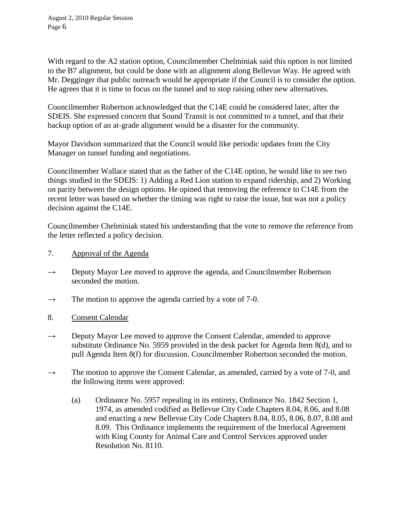With regard to the A2 station option, Councilmember Chelminiak said this option is not limited to the B7 alignment, but could be done with an alignment along Bellevue Way. He agreed with Mr. Degginger that public outreach would be appropriate if the Council is to consider the option. He agrees that it is time to focus on the tunnel and to stop raising other new alternatives.

Councilmember Robertson acknowledged that the C14E could be considered later, after the SDEIS. She expressed concern that Sound Transit is not committed to a tunnel, and that their backup option of an at-grade alignment would be a disaster for the community.

Mayor Davidson summarized that the Council would like periodic updates from the City Manager on tunnel funding and negotiations.

Councilmember Wallace stated that as the father of the C14E option, he would like to see two things studied in the SDEIS: 1) Adding a Red Lion station to expand ridership, and 2) Working on parity between the design options. He opined that removing the reference to C14E from the recent letter was based on whether the timing was right to raise the issue, but was not a policy decision against the C14E.

Councilmember Chelminiak stated his understanding that the vote to remove the reference from the letter reflected a policy decision.

- 7. Approval of the Agenda
- $\rightarrow$  Deputy Mayor Lee moved to approve the agenda, and Councilmember Robertson seconded the motion.
- $\rightarrow$  The motion to approve the agenda carried by a vote of 7-0.
- 8. Consent Calendar
- $\rightarrow$  Deputy Mayor Lee moved to approve the Consent Calendar, amended to approve substitute Ordinance No. 5959 provided in the desk packet for Agenda Item 8(d), and to pull Agenda Item 8(f) for discussion. Councilmember Robertson seconded the motion.
- $\rightarrow$  The motion to approve the Consent Calendar, as amended, carried by a vote of 7-0, and the following items were approved:
	- (a) Ordinance No. 5957 repealing in its entirety, Ordinance No. 1842 Section 1, 1974, as amended codified as Bellevue City Code Chapters 8.04, 8.06, and 8.08 and enacting a new Bellevue City Code Chapters 8.04, 8.05, 8.06, 8.07, 8.08 and 8.09. This Ordinance implements the requirement of the Interlocal Agreement with King County for Animal Care and Control Services approved under Resolution No. 8110.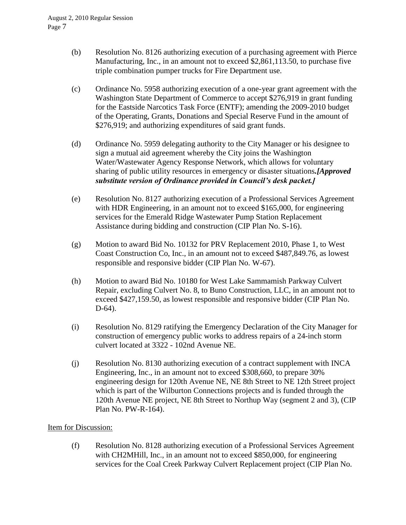- (b) Resolution No. 8126 authorizing execution of a purchasing agreement with Pierce Manufacturing, Inc., in an amount not to exceed \$2,861,113.50, to purchase five triple combination pumper trucks for Fire Department use.
- (c) Ordinance No. 5958 authorizing execution of a one-year grant agreement with the Washington State Department of Commerce to accept \$276,919 in grant funding for the Eastside Narcotics Task Force (ENTF); amending the 2009-2010 budget of the Operating, Grants, Donations and Special Reserve Fund in the amount of \$276,919; and authorizing expenditures of said grant funds.
- (d) Ordinance No. 5959 delegating authority to the City Manager or his designee to sign a mutual aid agreement whereby the City joins the Washington Water/Wastewater Agency Response Network, which allows for voluntary sharing of public utility resources in emergency or disaster situations*.[Approved substitute version of Ordinance provided in Council's desk packet.]*
- (e) Resolution No. 8127 authorizing execution of a Professional Services Agreement with HDR Engineering, in an amount not to exceed \$165,000, for engineering services for the Emerald Ridge Wastewater Pump Station Replacement Assistance during bidding and construction (CIP Plan No. S-16).
- (g) Motion to award Bid No. 10132 for PRV Replacement 2010, Phase 1, to West Coast Construction Co, Inc., in an amount not to exceed \$487,849.76, as lowest responsible and responsive bidder (CIP Plan No. W-67).
- (h) Motion to award Bid No. 10180 for West Lake Sammamish Parkway Culvert Repair, excluding Culvert No. 8, to Buno Construction, LLC, in an amount not to exceed \$427,159.50, as lowest responsible and responsive bidder (CIP Plan No. D-64).
- (i) Resolution No. 8129 ratifying the Emergency Declaration of the City Manager for construction of emergency public works to address repairs of a 24-inch storm culvert located at 3322 - 102nd Avenue NE.
- (j) Resolution No. 8130 authorizing execution of a contract supplement with INCA Engineering, Inc., in an amount not to exceed \$308,660, to prepare 30% engineering design for 120th Avenue NE, NE 8th Street to NE 12th Street project which is part of the Wilburton Connections projects and is funded through the 120th Avenue NE project, NE 8th Street to Northup Way (segment 2 and 3), (CIP Plan No. PW-R-164).

## Item for Discussion:

(f) Resolution No. 8128 authorizing execution of a Professional Services Agreement with CH2MHill, Inc., in an amount not to exceed \$850,000, for engineering services for the Coal Creek Parkway Culvert Replacement project (CIP Plan No.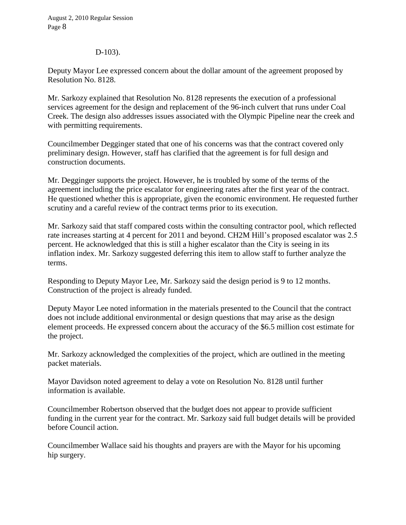## D-103).

Deputy Mayor Lee expressed concern about the dollar amount of the agreement proposed by Resolution No. 8128.

Mr. Sarkozy explained that Resolution No. 8128 represents the execution of a professional services agreement for the design and replacement of the 96-inch culvert that runs under Coal Creek. The design also addresses issues associated with the Olympic Pipeline near the creek and with permitting requirements.

Councilmember Degginger stated that one of his concerns was that the contract covered only preliminary design. However, staff has clarified that the agreement is for full design and construction documents.

Mr. Degginger supports the project. However, he is troubled by some of the terms of the agreement including the price escalator for engineering rates after the first year of the contract. He questioned whether this is appropriate, given the economic environment. He requested further scrutiny and a careful review of the contract terms prior to its execution.

Mr. Sarkozy said that staff compared costs within the consulting contractor pool, which reflected rate increases starting at 4 percent for 2011 and beyond. CH2M Hill's proposed escalator was 2.5 percent. He acknowledged that this is still a higher escalator than the City is seeing in its inflation index. Mr. Sarkozy suggested deferring this item to allow staff to further analyze the terms.

Responding to Deputy Mayor Lee, Mr. Sarkozy said the design period is 9 to 12 months. Construction of the project is already funded.

Deputy Mayor Lee noted information in the materials presented to the Council that the contract does not include additional environmental or design questions that may arise as the design element proceeds. He expressed concern about the accuracy of the \$6.5 million cost estimate for the project.

Mr. Sarkozy acknowledged the complexities of the project, which are outlined in the meeting packet materials.

Mayor Davidson noted agreement to delay a vote on Resolution No. 8128 until further information is available.

Councilmember Robertson observed that the budget does not appear to provide sufficient funding in the current year for the contract. Mr. Sarkozy said full budget details will be provided before Council action.

Councilmember Wallace said his thoughts and prayers are with the Mayor for his upcoming hip surgery.